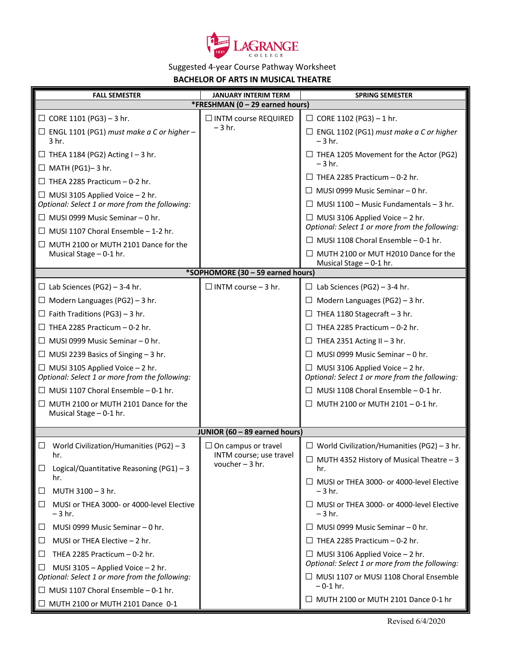

## Suggested 4-year Course Pathway Worksheet

**BACHELOR OF ARTS IN MUSICAL THEATRE**

| <b>FALL SEMESTER</b>                                                                       | <b>JANUARY INTERIM TERM</b>                           | <b>SPRING SEMESTER</b>                                                                   |  |  |
|--------------------------------------------------------------------------------------------|-------------------------------------------------------|------------------------------------------------------------------------------------------|--|--|
| *FRESHMAN (0 - 29 earned hours)                                                            |                                                       |                                                                                          |  |  |
| $\Box$ CORE 1101 (PG3) - 3 hr.                                                             | □ INTM course REQUIRED                                | $\Box$ CORE 1102 (PG3) - 1 hr.                                                           |  |  |
| $\Box$ ENGL 1101 (PG1) must make a C or higher -<br>3 <sub>hr.</sub>                       | $-3$ hr.                                              | $\Box$ ENGL 1102 (PG1) must make a C or higher<br>$-3$ hr.                               |  |  |
| $\Box$ THEA 1184 (PG2) Acting I - 3 hr.<br>$\Box$ MATH (PG1)-3 hr.                         |                                                       | $\Box$ THEA 1205 Movement for the Actor (PG2)<br>$-3$ hr.                                |  |  |
| $\Box$ THEA 2285 Practicum - 0-2 hr.                                                       |                                                       | $\Box$ THEA 2285 Practicum – 0-2 hr.                                                     |  |  |
|                                                                                            |                                                       | $\Box$ MUSI 0999 Music Seminar – 0 hr.                                                   |  |  |
| $\Box$ MUSI 3105 Applied Voice $-2$ hr.<br>Optional: Select 1 or more from the following:  |                                                       | $\Box$ MUSI 1100 - Music Fundamentals - 3 hr.                                            |  |  |
| $\Box$ MUSI 0999 Music Seminar - 0 hr.                                                     |                                                       | $\Box$ MUSI 3106 Applied Voice - 2 hr.<br>Optional: Select 1 or more from the following: |  |  |
| $\Box$ MUSI 1107 Choral Ensemble - 1-2 hr.                                                 |                                                       | $\Box$ MUSI 1108 Choral Ensemble - 0-1 hr.                                               |  |  |
| $\Box$ MUTH 2100 or MUTH 2101 Dance for the<br>Musical Stage - 0-1 hr.                     |                                                       | $\Box$ MUTH 2100 or MUT H2010 Dance for the                                              |  |  |
|                                                                                            |                                                       | Musical Stage - 0-1 hr.                                                                  |  |  |
| *SOPHOMORE (30 - 59 earned hours)                                                          |                                                       |                                                                                          |  |  |
| $\Box$ Lab Sciences (PG2) - 3-4 hr.                                                        | $\Box$ INTM course - 3 hr.                            | $\Box$ Lab Sciences (PG2) - 3-4 hr.                                                      |  |  |
| $\Box$ Modern Languages (PG2) – 3 hr.                                                      |                                                       | $\Box$ Modern Languages (PG2) - 3 hr.                                                    |  |  |
| $\Box$ Faith Traditions (PG3) – 3 hr.                                                      |                                                       | $\Box$ THEA 1180 Stagecraft - 3 hr.                                                      |  |  |
| $\Box$ THEA 2285 Practicum - 0-2 hr.                                                       |                                                       | $\Box$ THEA 2285 Practicum - 0-2 hr.                                                     |  |  |
| $\Box$ MUSI 0999 Music Seminar – 0 hr.                                                     |                                                       | $\Box$ THEA 2351 Acting II - 3 hr.                                                       |  |  |
| $\Box$ MUSI 2239 Basics of Singing - 3 hr.                                                 |                                                       | $\Box$ MUSI 0999 Music Seminar - 0 hr.                                                   |  |  |
| $\Box$ MUSI 3105 Applied Voice $-$ 2 hr.<br>Optional: Select 1 or more from the following: |                                                       | $\Box$ MUSI 3106 Applied Voice - 2 hr.<br>Optional: Select 1 or more from the following: |  |  |
| $\Box$ MUSI 1107 Choral Ensemble - 0-1 hr.                                                 |                                                       | $\Box$ MUSI 1108 Choral Ensemble - 0-1 hr.                                               |  |  |
| $\Box$ MUTH 2100 or MUTH 2101 Dance for the<br>Musical Stage - 0-1 hr.                     |                                                       | $\Box$ MUTH 2100 or MUTH 2101 - 0-1 hr.                                                  |  |  |
|                                                                                            |                                                       |                                                                                          |  |  |
| JUNIOR (60 - 89 earned hours)                                                              |                                                       |                                                                                          |  |  |
| $\Box$ World Civilization/Humanities (PG2) - 3<br>hr.                                      | $\Box$ On campus or travel<br>INTM course; use travel | $\Box$ World Civilization/Humanities (PG2) - 3 hr.                                       |  |  |
| $\Box$<br>Logical/Quantitative Reasoning (PG1) - 3                                         | voucher $-3$ hr.                                      | $\Box$ MUTH 4352 History of Musical Theatre - 3<br>hr.                                   |  |  |
| hr.<br>MUTH 3100 - 3 hr.<br>ப                                                              |                                                       | $\Box$ MUSI or THEA 3000- or 4000-level Elective<br>$-3$ hr.                             |  |  |
| MUSI or THEA 3000- or 4000-level Elective<br>Ш<br>$-3$ hr.                                 |                                                       | $\Box$ MUSI or THEA 3000- or 4000-level Elective<br>$-3$ hr.                             |  |  |
| MUSI 0999 Music Seminar - 0 hr.<br>⊔                                                       |                                                       | $\Box$ MUSI 0999 Music Seminar – 0 hr.                                                   |  |  |
| MUSI or THEA Elective $-2$ hr.<br>⊔                                                        |                                                       | $\Box$ THEA 2285 Practicum - 0-2 hr.                                                     |  |  |
| THEA 2285 Practicum $-0-2$ hr.<br>⊔                                                        |                                                       | $\Box$ MUSI 3106 Applied Voice - 2 hr.<br>Optional: Select 1 or more from the following: |  |  |
| MUSI 3105 - Applied Voice $-2$ hr.<br>⊔<br>Optional: Select 1 or more from the following:  |                                                       | □ MUSI 1107 or MUSI 1108 Choral Ensemble                                                 |  |  |
| $\Box$ MUSI 1107 Choral Ensemble - 0-1 hr.                                                 |                                                       | $-0-1$ hr.                                                                               |  |  |
| $\Box$ MUTH 2100 or MUTH 2101 Dance 0-1                                                    |                                                       | $\Box$ MUTH 2100 or MUTH 2101 Dance 0-1 hr                                               |  |  |